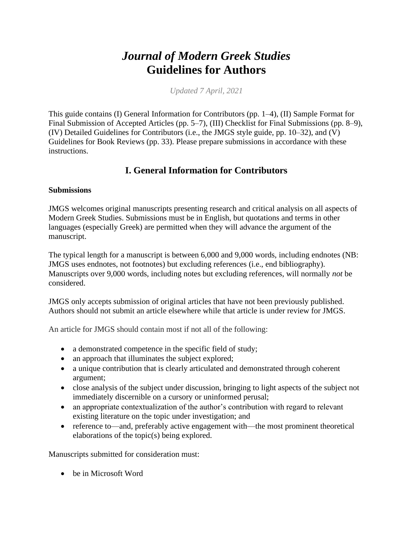# *Journal of Modern Greek Studies* **Guidelines for Authors**

*Updated 7 April, 2021*

This guide contains (I) General Information for Contributors (pp. 1–4), (II) Sample Format for Final Submission of Accepted Articles (pp. 5–7), (III) Checklist for Final Submissions (pp. 8–9), (IV) Detailed Guidelines for Contributors (i.e., the JMGS style guide, pp. 10–32), and (V) Guidelines for Book Reviews (pp. 33). Please prepare submissions in accordance with these instructions.

## **I. General Information for Contributors**

### **Submissions**

JMGS welcomes original manuscripts presenting research and critical analysis on all aspects of Modern Greek Studies. Submissions must be in English, but quotations and terms in other languages (especially Greek) are permitted when they will advance the argument of the manuscript.

The typical length for a manuscript is between 6,000 and 9,000 words, including endnotes (NB: JMGS uses endnotes, not footnotes) but excluding references (i.e., end bibliography). Manuscripts over 9,000 words, including notes but excluding references, will normally *not* be considered.

JMGS only accepts submission of original articles that have not been previously published. Authors should not submit an article elsewhere while that article is under review for JMGS.

An article for JMGS should contain most if not all of the following:

- a demonstrated competence in the specific field of study;
- an approach that illuminates the subject explored;
- a unique contribution that is clearly articulated and demonstrated through coherent argument;
- close analysis of the subject under discussion, bringing to light aspects of the subject not immediately discernible on a cursory or uninformed perusal;
- an appropriate contextualization of the author's contribution with regard to relevant existing literature on the topic under investigation; and
- reference to—and, preferably active engagement with—the most prominent theoretical elaborations of the topic(s) being explored.

Manuscripts submitted for consideration must:

• be in Microsoft Word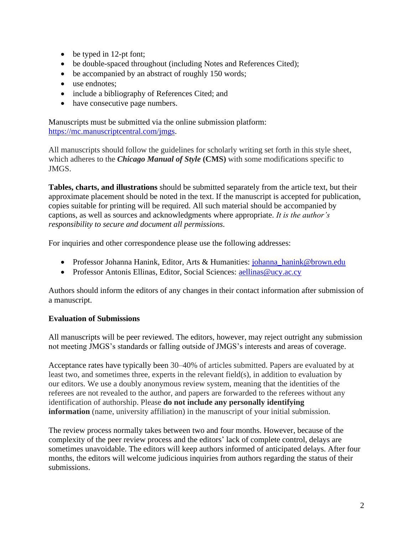- be typed in 12-pt font;
- be double-spaced throughout (including Notes and References Cited);
- be accompanied by an abstract of roughly 150 words;
- use endnotes;
- include a bibliography of References Cited; and
- have consecutive page numbers.

Manuscripts must be submitted via the online submission platform: [https://mc.manuscriptcentral.com/jmgs.](https://mc.manuscriptcentral.com/jmgs)

All manuscripts should follow the guidelines for scholarly writing set forth in this style sheet, which adheres to the *Chicago Manual of Style* **(CMS)** with some modifications specific to JMGS.

**Tables, charts, and illustrations** should be submitted separately from the article text, but their approximate placement should be noted in the text. If the manuscript is accepted for publication, copies suitable for printing will be required. All such material should be accompanied by captions, as well as sources and acknowledgments where appropriate. *It is the author's responsibility to secure and document all permissions.*

For inquiries and other correspondence please use the following addresses:

- Professor Johanna Hanink, Editor, Arts & Humanities: [johanna\\_hanink@brown.edu](mailto:johanna_hanink@brown.edu)
- Professor Antonis Ellinas, Editor, Social Sciences: [aellinas@ucy.ac.cy](mailto:aellinas@ucy.ac.cy)

Authors should inform the editors of any changes in their contact information after submission of a manuscript.

### **Evaluation of Submissions**

All manuscripts will be peer reviewed. The editors, however, may reject outright any submission not meeting JMGS's standards or falling outside of JMGS's interests and areas of coverage.

Acceptance rates have typically been 30–40% of articles submitted. Papers are evaluated by at least two, and sometimes three, experts in the relevant field(s), in addition to evaluation by our editors. We use a doubly anonymous review system, meaning that the identities of the referees are not revealed to the author, and papers are forwarded to the referees without any identification of authorship. Please **do not include any personally identifying information** (name, university affiliation) in the manuscript of your initial submission.

The review process normally takes between two and four months. However, because of the complexity of the peer review process and the editors' lack of complete control, delays are sometimes unavoidable. The editors will keep authors informed of anticipated delays. After four months, the editors will welcome judicious inquiries from authors regarding the status of their submissions.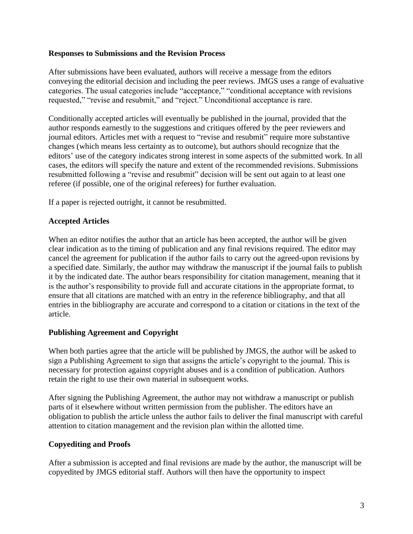#### **Responses to Submissions and the Revision Process**

After submissions have been evaluated, authors will receive a message from the editors conveying the editorial decision and including the peer reviews. JMGS uses a range of evaluative categories. The usual categories include "acceptance," "conditional acceptance with revisions requested," "revise and resubmit," and "reject." Unconditional acceptance is rare.

Conditionally accepted articles will eventually be published in the journal, provided that the author responds earnestly to the suggestions and critiques offered by the peer reviewers and journal editors. Articles met with a request to "revise and resubmit" require more substantive changes (which means less certainty as to outcome), but authors should recognize that the editors' use of the category indicates strong interest in some aspects of the submitted work. In all cases, the editors will specify the nature and extent of the recommended revisions. Submissions resubmitted following a "revise and resubmit" decision will be sent out again to at least one referee (if possible, one of the original referees) for further evaluation.

If a paper is rejected outright, it cannot be resubmitted.

### **Accepted Articles**

When an editor notifies the author that an article has been accepted, the author will be given clear indication as to the timing of publication and any final revisions required. The editor may cancel the agreement for publication if the author fails to carry out the agreed-upon revisions by a specified date. Similarly, the author may withdraw the manuscript if the journal fails to publish it by the indicated date. The author bears responsibility for citation management, meaning that it is the author's responsibility to provide full and accurate citations in the appropriate format, to ensure that all citations are matched with an entry in the reference bibliography, and that all entries in the bibliography are accurate and correspond to a citation or citations in the text of the article.

### **Publishing Agreement and Copyright**

When both parties agree that the article will be published by JMGS, the author will be asked to sign a Publishing Agreement to sign that assigns the article's copyright to the journal. This is necessary for protection against copyright abuses and is a condition of publication. Authors retain the right to use their own material in subsequent works.

After signing the Publishing Agreement, the author may not withdraw a manuscript or publish parts of it elsewhere without written permission from the publisher. The editors have an obligation to publish the article unless the author fails to deliver the final manuscript with careful attention to citation management and the revision plan within the allotted time.

### **Copyediting and Proofs**

After a submission is accepted and final revisions are made by the author, the manuscript will be copyedited by JMGS editorial staff. Authors will then have the opportunity to inspect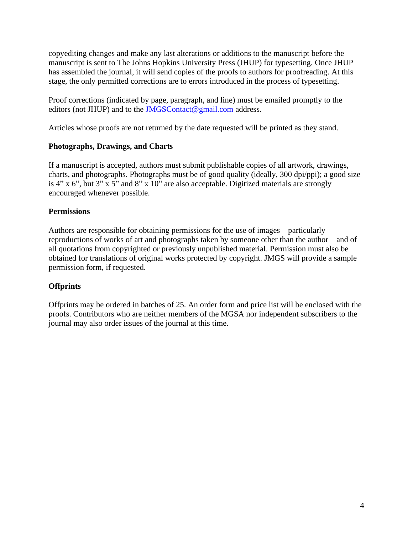copyediting changes and make any last alterations or additions to the manuscript before the manuscript is sent to The Johns Hopkins University Press (JHUP) for typesetting. Once JHUP has assembled the journal, it will send copies of the proofs to authors for proofreading. At this stage, the only permitted corrections are to errors introduced in the process of typesetting.

Proof corrections (indicated by page, paragraph, and line) must be emailed promptly to the editors (not JHUP) and to the [JMGSContact@gmail.com](mailto:JMGSContact@gmail.com) address.

Articles whose proofs are not returned by the date requested will be printed as they stand.

#### **Photographs, Drawings, and Charts**

If a manuscript is accepted, authors must submit publishable copies of all artwork, drawings, charts, and photographs. Photographs must be of good quality (ideally, 300 dpi/ppi); a good size is 4" x 6", but 3" x 5" and 8" x 10" are also acceptable. Digitized materials are strongly encouraged whenever possible.

#### **Permissions**

Authors are responsible for obtaining permissions for the use of images—particularly reproductions of works of art and photographs taken by someone other than the author—and of all quotations from copyrighted or previously unpublished material. Permission must also be obtained for translations of original works protected by copyright. JMGS will provide a sample permission form, if requested.

### **Offprints**

Offprints may be ordered in batches of 25. An order form and price list will be enclosed with the proofs. Contributors who are neither members of the MGSA nor independent subscribers to the journal may also order issues of the journal at this time.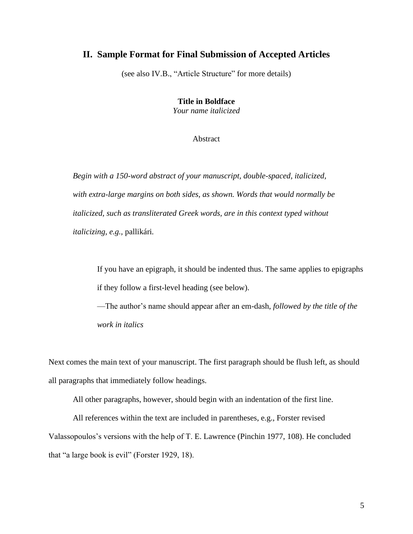#### **II. Sample Format for Final Submission of Accepted Articles**

(see also IV.B., "Article Structure" for more details)

**Title in Boldface** *Your name italicized*

Abstract

*Begin with a 150-word abstract of your manuscript, double-spaced, italicized, with extra-large margins on both sides, as shown. Words that would normally be italicized, such as transliterated Greek words, are in this context typed without italicizing, e.g.,* pallikári*.*

If you have an epigraph, it should be indented thus. The same applies to epigraphs if they follow a first-level heading (see below).

—The author's name should appear after an em-dash, *followed by the title of the work in italics*

Next comes the main text of your manuscript. The first paragraph should be flush left, as should all paragraphs that immediately follow headings.

All other paragraphs, however, should begin with an indentation of the first line.

All references within the text are included in parentheses, e.g., Forster revised Valassopoulos's versions with the help of T. E. Lawrence (Pinchin 1977, 108). He concluded that "a large book is evil" (Forster 1929, 18).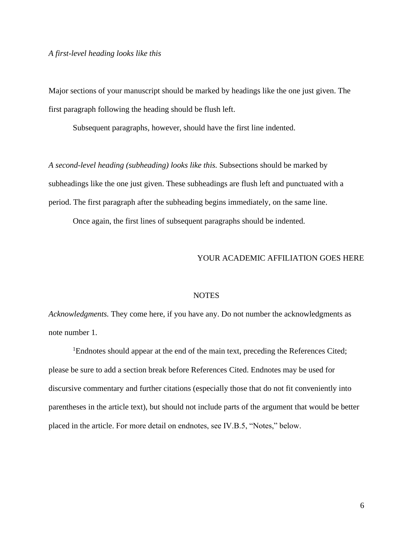Major sections of your manuscript should be marked by headings like the one just given. The first paragraph following the heading should be flush left.

Subsequent paragraphs, however, should have the first line indented.

*A second-level heading (subheading) looks like this.* Subsections should be marked by subheadings like the one just given. These subheadings are flush left and punctuated with a period. The first paragraph after the subheading begins immediately, on the same line.

Once again, the first lines of subsequent paragraphs should be indented.

#### YOUR ACADEMIC AFFILIATION GOES HERE

#### **NOTES**

*Acknowledgments.* They come here, if you have any. Do not number the acknowledgments as note number 1.

<sup>1</sup>Endnotes should appear at the end of the main text, preceding the References Cited; please be sure to add a section break before References Cited. Endnotes may be used for discursive commentary and further citations (especially those that do not fit conveniently into parentheses in the article text), but should not include parts of the argument that would be better placed in the article. For more detail on endnotes, see IV.B.5, "Notes," below.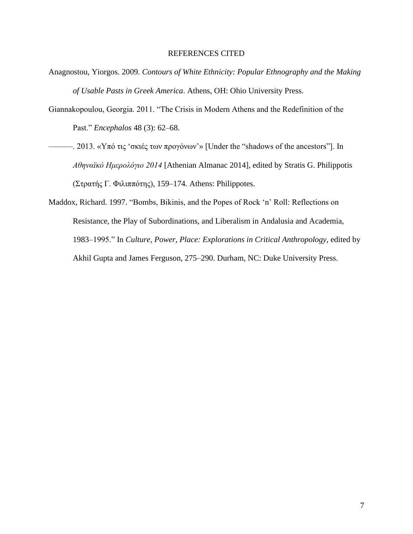#### REFERENCES CITED

- Anagnostou, Yiorgos. 2009. *Contours of White Ethnicity: Popular Ethnography and the Making of Usable Pasts in Greek America*. Athens, OH: Ohio University Press.
- Giannakopoulou, Georgia. 2011. "The Crisis in Modern Athens and the Redefinition of the Past." *Encephalos* 48 (3): 62–68.
- 2013. «Υπό τις 'σκιές των προγόνων'» [Under the "shadows of the ancestors"]. In *Αθηναϊκό Ημερολόγιο 2014* [Athenian Almanac 2014], edited by Stratis G. Philippotis (Στρατής Γ. Φιλιππότης), 159–174. Athens: Philippotes.
- Maddox, Richard. 1997. "Bombs, Bikinis, and the Popes of Rock 'n' Roll: Reflections on Resistance, the Play of Subordinations, and Liberalism in Andalusia and Academia, 1983–1995." In *Culture, Power, Place: Explorations in Critical Anthropology*, edited by Akhil Gupta and James Ferguson, 275–290. Durham, NC: Duke University Press.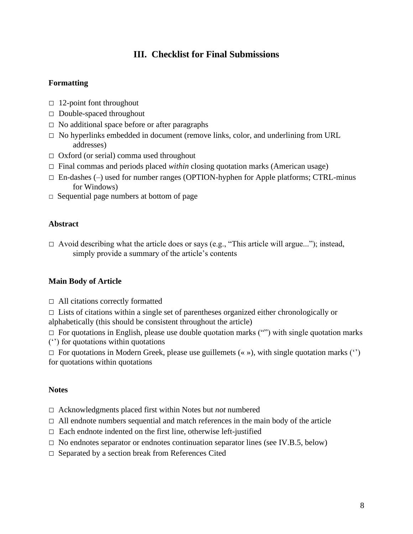## **III. Checklist for Final Submissions**

### **Formatting**

- **□** 12-point font throughout
- **□** Double-spaced throughout
- **□** No additional space before or after paragraphs
- □ No hyperlinks embedded in document (remove links, color, and underlining from URL addresses)
- **□** Oxford (or serial) comma used throughout
- **□** Final commas and periods placed *within* closing quotation marks (American usage)
- **□** En-dashes (–) used for number ranges (OPTION-hyphen for Apple platforms; CTRL-minus for Windows)
- **□** Sequential page numbers at bottom of page

### **Abstract**

**□** Avoid describing what the article does or says (e.g., "This article will argue..."); instead, simply provide a summary of the article's contents

### **Main Body of Article**

**□** All citations correctly formatted

**□** Lists of citations within a single set of parentheses organized either chronologically or alphabetically (this should be consistent throughout the article)

**□** For quotations in English, please use double quotation marks ("") with single quotation marks ('') for quotations within quotations

**□** For quotations in Modern Greek, please use guillemets (« »), with single quotation marks ('') for quotations within quotations

#### **Notes**

- **□** Acknowledgments placed first within Notes but *not* numbered
- **□** All endnote numbers sequential and match references in the main body of the article
- □ Each endnote indented on the first line, otherwise left-justified
- □ No endnotes separator or endnotes continuation separator lines (see IV.B.5, below)
- □ Separated by a section break from References Cited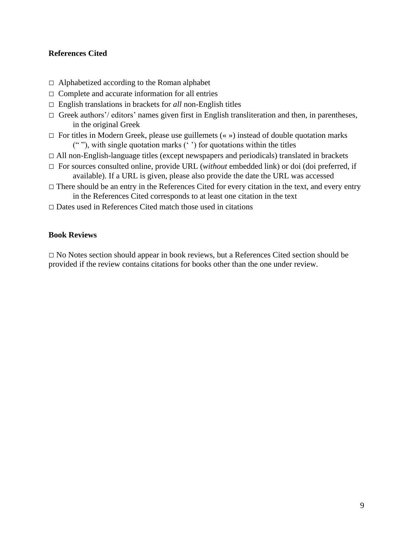### **References Cited**

- **□** Alphabetized according to the Roman alphabet
- □ Complete and accurate information for all entries
- **□** English translations in brackets for *all* non-English titles
- □ Greek authors'/ editors' names given first in English transliteration and then, in parentheses, in the original Greek
- **□** For titles in Modern Greek, please use guillemets (« ») instead of double quotation marks (" "), with single quotation marks (' ') for quotations within the titles
- **□** All non-English-language titles (except newspapers and periodicals) translated in brackets
- **□** For sources consulted online, provide URL (*without* embedded link) or doi (doi preferred, if available). If a URL is given, please also provide the date the URL was accessed
- □ There should be an entry in the References Cited for every citation in the text, and every entry in the References Cited corresponds to at least one citation in the text
- **□** Dates used in References Cited match those used in citations

#### **Book Reviews**

**□** No Notes section should appear in book reviews, but a References Cited section should be provided if the review contains citations for books other than the one under review.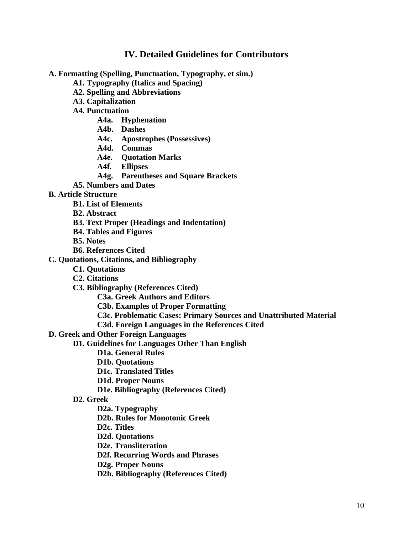### **IV. Detailed Guidelines for Contributors**

**A. Formatting (Spelling, Punctuation, Typography, et sim.)**

**A1. Typography (Italics and Spacing)**

- **A2. Spelling and Abbreviations**
- **A3. Capitalization**
- **A4. Punctuation**
	- **A4a. Hyphenation**
	- **A4b. Dashes**
	- **A4c. Apostrophes (Possessives)**
	- **A4d. Commas**
	- **A4e. Quotation Marks**
	- **A4f. Ellipses**
	- **A4g. Parentheses and Square Brackets**
- **A5. Numbers and Dates**

#### **B. Article Structure**

- **B1. List of Elements**
- **B2. Abstract**
- **B3. Text Proper (Headings and Indentation)**
- **B4. Tables and Figures**
- **B5. Notes**
- **B6. References Cited**

#### **C. Quotations, Citations, and Bibliography**

- **C1. Quotations**
- **C2. Citations**
- **C3. Bibliography (References Cited)**
	- **C3a. Greek Authors and Editors**
	- **C3b. Examples of Proper Formatting**
	- **C3c. Problematic Cases: Primary Sources and Unattributed Material**
	- **C3d. Foreign Languages in the References Cited**

### **D. Greek and Other Foreign Languages**

- **D1. Guidelines for Languages Other Than English**
	- **D1a. General Rules**
	- **D1b. Quotations**
	- **D1c. Translated Titles**
	- **D1d. Proper Nouns**
	- **D1e. Bibliography (References Cited)**

#### **D2. Greek**

- **D2a. Typography**
- **D2b. Rules for Monotonic Greek**
- **D2c. Titles**
- **D2d. Quotations**
- **D2e. Transliteration**
- **D2f. Recurring Words and Phrases**
- **D2g. Proper Nouns**
- **D2h. Bibliography (References Cited)**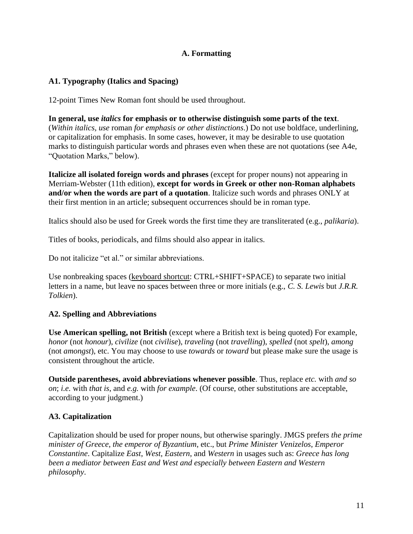### **A. Formatting**

### **A1. Typography (Italics and Spacing)**

12-point Times New Roman font should be used throughout.

**In general, use** *italics* **for emphasis or to otherwise distinguish some parts of the text**. (*Within italics, use* roman *for emphasis or other distinctions*.) Do not use boldface, underlining, or capitalization for emphasis. In some cases, however, it may be desirable to use quotation marks to distinguish particular words and phrases even when these are not quotations (see A4e, "Quotation Marks," below).

**Italicize all isolated foreign words and phrases** (except for proper nouns) not appearing in Merriam-Webster (11th edition), **except for words in Greek or other non-Roman alphabets and/or when the words are part of a quotation**. Italicize such words and phrases ONLY at their first mention in an article; subsequent occurrences should be in roman type.

Italics should also be used for Greek words the first time they are transliterated (e.g., *palikaria*).

Titles of books, periodicals, and films should also appear in italics.

Do not italicize "et al." or similar abbreviations.

Use nonbreaking spaces (keyboard shortcut: CTRL+SHIFT+SPACE) to separate two initial letters in a name, but leave no spaces between three or more initials (e.g., *C. S. Lewis* but *J.R.R. Tolkien*).

### **A2. Spelling and Abbreviations**

**Use American spelling, not British** (except where a British text is being quoted) For example, *honor* (not *honour*), *civilize* (not *civilise*), *traveling* (not *travelling*), *spelled* (not *spelt*), *among* (not *amongst*), etc. You may choose to use *towards* or *toward* but please make sure the usage is consistent throughout the article.

**Outside parentheses, avoid abbreviations whenever possible**. Thus, replace *etc.* with *and so on*; *i.e.* with *that is*, and *e.g.* with *for example*. (Of course, other substitutions are acceptable, according to your judgment.)

### **A3. Capitalization**

Capitalization should be used for proper nouns, but otherwise sparingly. JMGS prefers *the prime minister of Greece*, *the emperor of Byzantium*, etc., but *Prime Minister Venizelos*, *Emperor Constantine*. Capitalize *East*, *West*, *Eastern*, and *Western* in usages such as: *Greece has long been a mediator between East and West and especially between Eastern and Western philosophy*.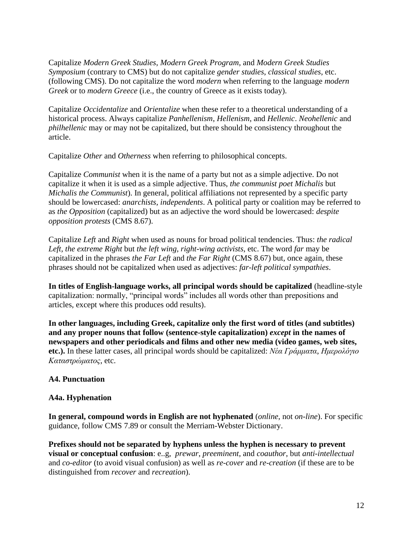Capitalize *Modern Greek Studies*, *Modern Greek Program*, and *Modern Greek Studies Symposium* (contrary to CMS) but do not capitalize *gender studies*, *classical studies*, etc. (following CMS). Do not capitalize the word *modern* when referring to the language *modern Greek* or to *modern Greece* (i.e., the country of Greece as it exists today).

Capitalize *Occidentalize* and *Orientalize* when these refer to a theoretical understanding of a historical process. Always capitalize *Panhellenism*, *Hellenism*, and *Hellenic*. *Neohellenic* and *philhellenic* may or may not be capitalized, but there should be consistency throughout the article.

Capitalize *Other* and *Otherness* when referring to philosophical concepts.

Capitalize *Communist* when it is the name of a party but not as a simple adjective. Do not capitalize it when it is used as a simple adjective. Thus, *the communist poet Michalis* but *Michalis the Communist*). In general, political affiliations not represented by a specific party should be lowercased: *anarchists, independents*. A political party or coalition may be referred to as *the Opposition* (capitalized) but as an adjective the word should be lowercased: *despite opposition protests* (CMS 8.67).

Capitalize *Left* and *Right* when used as nouns for broad political tendencies. Thus: *the radical Left, the extreme Right* but *the left wing, right-wing activists*, etc. The word *far* may be capitalized in the phrases *the Far Left* and *the Far Right* (CMS 8.67) but, once again, these phrases should not be capitalized when used as adjectives: *far-left political sympathies*.

**In titles of English-language works, all principal words should be capitalized** (headline-style capitalization: normally, "principal words" includes all words other than prepositions and articles, except where this produces odd results).

**In other languages, including Greek, capitalize only the first word of titles (and subtitles) and any proper nouns that follow (sentence-style capitalization)** *except* **in the names of newspapers and other periodicals and films and other new media (video games, web sites, etc.).** In these latter cases, all principal words should be capitalized: *Νέα Γράμματα*, *Ημερολόγιο Καταστρώματος*, etc.

### **A4. Punctuation**

### **A4a. Hyphenation**

**In general, compound words in English are not hyphenated** (*online*, not *on-line*). For specific guidance, follow CMS 7.89 or consult the Merriam-Webster Dictionary.

**Prefixes should not be separated by hyphens unless the hyphen is necessary to prevent visual or conceptual confusion**: e..g, *prewar*, *preeminent*, and *coauthor*, but *anti-intellectual* and *co-editor* (to avoid visual confusion) as well as *re-cover* and *re-creation* (if these are to be distinguished from *recover* and *recreation*).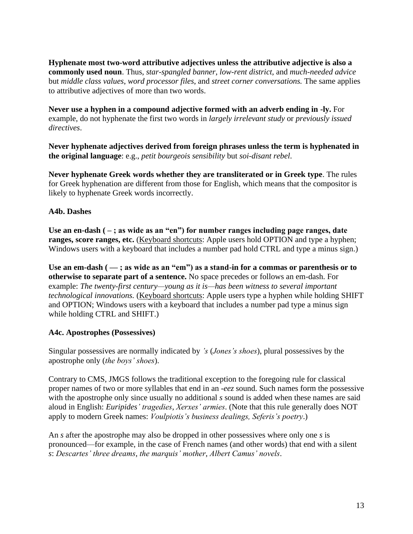**Hyphenate most two-word attributive adjectives unless the attributive adjective is also a commonly used noun**. Thus, *star-spangled banner*, *low-rent district*, and *much-needed advice* but *middle class values*, *word processor files*, and *street corner conversations.* The same applies to attributive adjectives of more than two words.

**Never use a hyphen in a compound adjective formed with an adverb ending in -ly.** For example, do not hyphenate the first two words in *largely irrelevant study* or *previously issued directives*.

**Never hyphenate adjectives derived from foreign phrases unless the term is hyphenated in the original language**: e.g., *petit bourgeois sensibility* but *soi-disant rebel*.

**Never hyphenate Greek words whether they are transliterated or in Greek type**. The rules for Greek hyphenation are different from those for English, which means that the compositor is likely to hyphenate Greek words incorrectly.

### **A4b. Dashes**

Use an en-dash ( $-$ ; as wide as an "en") for number ranges including page ranges, date **ranges, score ranges, etc.** (Keyboard shortcuts: Apple users hold OPTION and type a hyphen; Windows users with a keyboard that includes a number pad hold CTRL and type a minus sign.)

Use an em-dash ( $-$ ; as wide as an "em") as a stand-in for a commas or parenthesis or to **otherwise to separate part of a sentence.** No space precedes or follows an em-dash. For example: *The twenty-first century—young as it is—has been witness to several important technological innovations.* (Keyboard shortcuts: Apple users type a hyphen while holding SHIFT and OPTION; Windows users with a keyboard that includes a number pad type a minus sign while holding CTRL and SHIFT.)

#### **A4c. Apostrophes (Possessives)**

Singular possessives are normally indicated by *'s* (*Jones's shoes*), plural possessives by the apostrophe only (*the boys' shoes*).

Contrary to CMS, JMGS follows the traditional exception to the foregoing rule for classical proper names of two or more syllables that end in an *-eez* sound. Such names form the possessive with the apostrophe only since usually no additional *s* sound is added when these names are said aloud in English: *Euripides' tragedies*, *Xerxes' armies*. (Note that this rule generally does NOT apply to modern Greek names: *Voulpiotis's business dealings, Seferis's poetry*.)

An *s* after the apostrophe may also be dropped in other possessives where only one *s* is pronounced—for example, in the case of French names (and other words) that end with a silent *s*: *Descartes' three dreams*, *the marquis' mother*, *Albert Camus' novels*.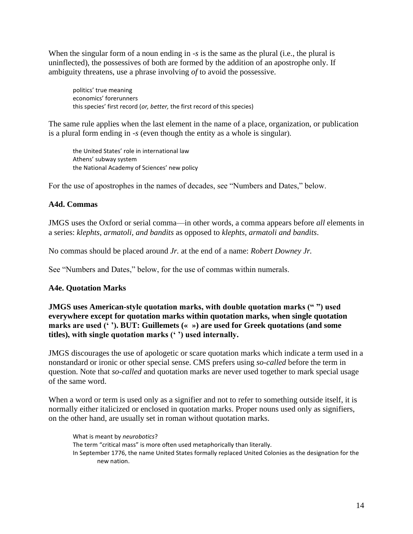When the singular form of a noun ending in *-s* is the same as the plural (i.e., the plural is uninflected), the possessives of both are formed by the addition of an apostrophe only. If ambiguity threatens, use a phrase involving *of* to avoid the possessive.

politics' true meaning economics' forerunners this species' first record (*or, better,* the first record of this species)

The same rule applies when the last element in the name of a place, organization, or publication is a plural form ending in *-s* (even though the entity as a whole is singular).

the United States' role in international law Athens' subway system the National Academy of Sciences' new policy

For the use of apostrophes in the names of decades, see "Numbers and Dates," below.

#### **A4d. Commas**

JMGS uses the Oxford or serial comma—in other words, a comma appears before *all* elements in a series: *klephts, armatoli, and bandits* as opposed to *klephts, armatoli and bandits*.

No commas should be placed around *Jr.* at the end of a name: *Robert Downey Jr.*

See "Numbers and Dates," below, for the use of commas within numerals.

#### **A4e. Quotation Marks**

**JMGS uses American-style quotation marks, with double quotation marks (" ") used everywhere except for quotation marks within quotation marks, when single quotation marks are used (' '). BUT: Guillemets (« ») are used for Greek quotations (and some titles), with single quotation marks (' ') used internally.**

JMGS discourages the use of apologetic or scare quotation marks which indicate a term used in a nonstandard or ironic or other special sense. CMS prefers using *so-called* before the term in question. Note that *so-called* and quotation marks are never used together to mark special usage of the same word.

When a word or term is used only as a signifier and not to refer to something outside itself, it is normally either italicized or enclosed in quotation marks. Proper nouns used only as signifiers, on the other hand, are usually set in roman without quotation marks.

What is meant by *neurobotics*? The term "critical mass" is more often used metaphorically than literally. In September 1776, the name United States formally replaced United Colonies as the designation for the new nation.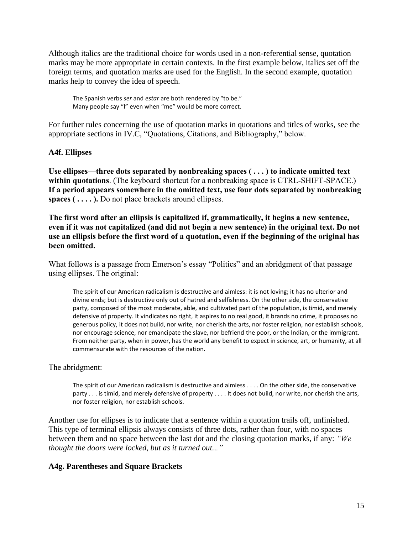Although italics are the traditional choice for words used in a non-referential sense, quotation marks may be more appropriate in certain contexts. In the first example below, italics set off the foreign terms, and quotation marks are used for the English. In the second example, quotation marks help to convey the idea of speech.

The Spanish verbs *ser* and *estar* are both rendered by "to be." Many people say "I" even when "me" would be more correct.

For further rules concerning the use of quotation marks in quotations and titles of works, see the appropriate sections in IV.C, "Quotations, Citations, and Bibliography," below.

#### **A4f. Ellipses**

**Use ellipses—three dots separated by nonbreaking spaces ( . . . ) to indicate omitted text within quotations**. (The keyboard shortcut for a nonbreaking space is CTRL-SHIFT-SPACE.) **If a period appears somewhere in the omitted text, use four dots separated by nonbreaking spaces ( . . . . ).** Do not place brackets around ellipses.

**The first word after an ellipsis is capitalized if, grammatically, it begins a new sentence, even if it was not capitalized (and did not begin a new sentence) in the original text. Do not use an ellipsis before the first word of a quotation, even if the beginning of the original has been omitted.**

What follows is a passage from Emerson's essay "Politics" and an abridgment of that passage using ellipses. The original:

The spirit of our American radicalism is destructive and aimless: it is not loving; it has no ulterior and divine ends; but is destructive only out of hatred and selfishness. On the other side, the conservative party, composed of the most moderate, able, and cultivated part of the population, is timid, and merely defensive of property. It vindicates no right, it aspires to no real good, it brands no crime, it proposes no generous policy, it does not build, nor write, nor cherish the arts, nor foster religion, nor establish schools, nor encourage science, nor emancipate the slave, nor befriend the poor, or the Indian, or the immigrant. From neither party, when in power, has the world any benefit to expect in science, art, or humanity, at all commensurate with the resources of the nation.

The abridgment:

The spirit of our American radicalism is destructive and aimless . . . . On the other side, the conservative party . . . is timid, and merely defensive of property . . . . It does not build, nor write, nor cherish the arts, nor foster religion, nor establish schools.

Another use for ellipses is to indicate that a sentence within a quotation trails off, unfinished. This type of terminal ellipsis always consists of three dots, rather than four, with no spaces between them and no space between the last dot and the closing quotation marks, if any: *"We thought the doors were locked, but as it turned out..."*

#### **A4g. Parentheses and Square Brackets**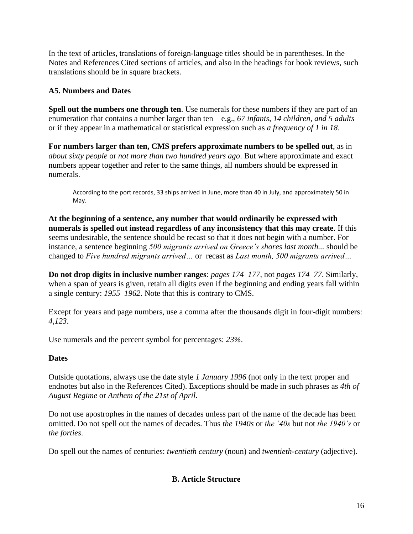In the text of articles, translations of foreign-language titles should be in parentheses. In the Notes and References Cited sections of articles, and also in the headings for book reviews, such translations should be in square brackets.

### **A5. Numbers and Dates**

**Spell out the numbers one through ten**. Use numerals for these numbers if they are part of an enumeration that contains a number larger than ten—e.g., *67 infants, 14 children, and 5 adults* or if they appear in a mathematical or statistical expression such as *a frequency of 1 in 18*.

**For numbers larger than ten, CMS prefers approximate numbers to be spelled out**, as in *about sixty people* or *not more than two hundred years ago*. But where approximate and exact numbers appear together and refer to the same things, all numbers should be expressed in numerals.

According to the port records, 33 ships arrived in June, more than 40 in July, and approximately 50 in May.

**At the beginning of a sentence, any number that would ordinarily be expressed with numerals is spelled out instead regardless of any inconsistency that this may create**. If this seems undesirable, the sentence should be recast so that it does not begin with a number. For instance, a sentence beginning *500 migrants arrived on Greece's shores last month...* should be changed to *Five hundred migrants arrived…* or recast as *Last month, 500 migrants arrived…*

**Do not drop digits in inclusive number ranges**: *pages 174–177*, not *pages 174–77*. Similarly, when a span of years is given, retain all digits even if the beginning and ending years fall within a single century: *1955–1962*. Note that this is contrary to CMS.

Except for years and page numbers, use a comma after the thousands digit in four-digit numbers: *4,123*.

Use numerals and the percent symbol for percentages: *23%*.

### **Dates**

Outside quotations, always use the date style *1 January 1996* (not only in the text proper and endnotes but also in the References Cited). Exceptions should be made in such phrases as *4th of August Regime* or *Anthem of the 21st of April*.

Do not use apostrophes in the names of decades unless part of the name of the decade has been omitted. Do not spell out the names of decades. Thus *the 1940s* or *the '40s* but not *the 1940's* or *the forties*.

Do spell out the names of centuries: *twentieth century* (noun) and *twentieth-century* (adjective).

### **B. Article Structure**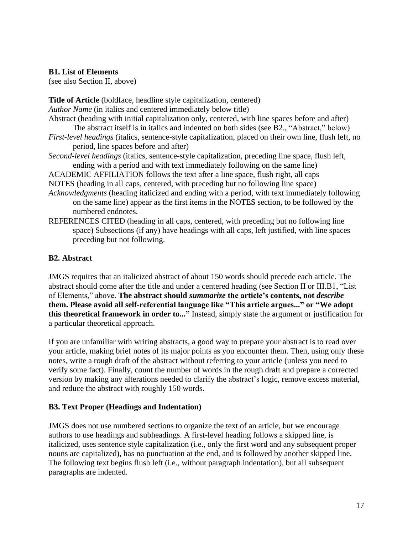#### **B1. List of Elements**

(see also Section II, above)

**Title of Article** (boldface, headline style capitalization, centered) *Author Name* (in italics and centered immediately below title)

Abstract (heading with initial capitalization only, centered, with line spaces before and after)

- The abstract itself is in italics and indented on both sides (see B2., "Abstract," below) *First-level headings* (italics, sentence-style capitalization, placed on their own line, flush left, no period, line spaces before and after)
- *Second-level headings* (italics, sentence-style capitalization, preceding line space, flush left, ending with a period and with text immediately following on the same line)

ACADEMIC AFFILIATION follows the text after a line space, flush right, all caps NOTES (heading in all caps, centered, with preceding but no following line space)

- *Acknowledgments* (heading italicized and ending with a period, with text immediately following on the same line) appear as the first items in the NOTES section, to be followed by the numbered endnotes.
- REFERENCES CITED (heading in all caps, centered, with preceding but no following line space) Subsections (if any) have headings with all caps, left justified, with line spaces preceding but not following.

### **B2. Abstract**

JMGS requires that an italicized abstract of about 150 words should precede each article. The abstract should come after the title and under a centered heading (see Section II or III.B1, "List of Elements," above. **The abstract should** *summarize* **the article's contents, not** *describe* **them. Please avoid all self-referential language like "This article argues..." or "We adopt this theoretical framework in order to..."** Instead, simply state the argument or justification for a particular theoretical approach.

If you are unfamiliar with writing abstracts, a good way to prepare your abstract is to read over your article, making brief notes of its major points as you encounter them. Then, using only these notes, write a rough draft of the abstract without referring to your article (unless you need to verify some fact). Finally, count the number of words in the rough draft and prepare a corrected version by making any alterations needed to clarify the abstract's logic, remove excess material, and reduce the abstract with roughly 150 words.

### **B3. Text Proper (Headings and Indentation)**

JMGS does not use numbered sections to organize the text of an article, but we encourage authors to use headings and subheadings. A first-level heading follows a skipped line, is italicized, uses sentence style capitalization (i.e., only the first word and any subsequent proper nouns are capitalized), has no punctuation at the end, and is followed by another skipped line. The following text begins flush left (i.e., without paragraph indentation), but all subsequent paragraphs are indented.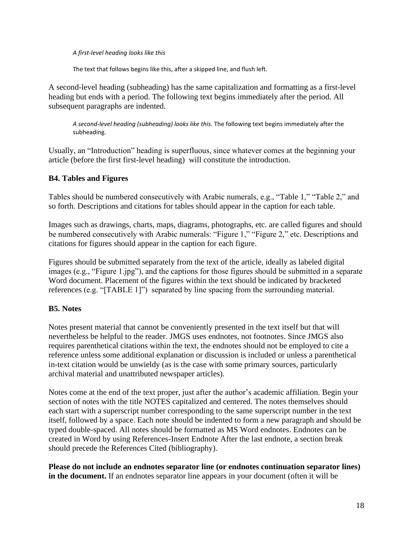#### *A first-level heading looks like this*

The text that follows begins like this, after a skipped line, and flush left.

A second-level heading (subheading) has the same capitalization and formatting as a first-level heading but ends with a period. The following text begins immediately after the period. All subsequent paragraphs are indented.

*A second-level heading (subheading) looks like this*. The following text begins immediately after the subheading.

Usually, an "Introduction" heading is superfluous, since whatever comes at the beginning your article (before the first first-level heading) will constitute the introduction.

### **B4. Tables and Figures**

Tables should be numbered consecutively with Arabic numerals, e.g., "Table 1," "Table 2," and so forth. Descriptions and citations for tables should appear in the caption for each table.

Images such as drawings, charts, maps, diagrams, photographs, etc. are called figures and should be numbered consecutively with Arabic numerals: "Figure 1," "Figure 2," etc. Descriptions and citations for figures should appear in the caption for each figure.

Figures should be submitted separately from the text of the article, ideally as labeled digital images (e.g., "Figure 1.jpg"), and the captions for those figures should be submitted in a separate Word document. Placement of the figures within the text should be indicated by bracketed references (e.g. "[TABLE 1]") separated by line spacing from the surrounding material.

### **B5. Notes**

Notes present material that cannot be conveniently presented in the text itself but that will nevertheless be helpful to the reader. JMGS uses endnotes, not footnotes. Since JMGS also requires parenthetical citations within the text, the endnotes should not be employed to cite a reference unless some additional explanation or discussion is included or unless a parenthetical in-text citation would be unwieldy (as is the case with some primary sources, particularly archival material and unattributed newspaper articles).

Notes come at the end of the text proper, just after the author's academic affiliation. Begin your section of notes with the title NOTES capitalized and centered. The notes themselves should each start with a superscript number corresponding to the same superscript number in the text itself, followed by a space. Each note should be indented to form a new paragraph and should be typed double-spaced. All notes should be formatted as MS Word endnotes. Endnotes can be created in Word by using References-Insert Endnote After the last endnote, a section break should precede the References Cited (bibliography).

**Please do not include an endnotes separator line (or endnotes continuation separator lines) in the document.** If an endnotes separator line appears in your document (often it will be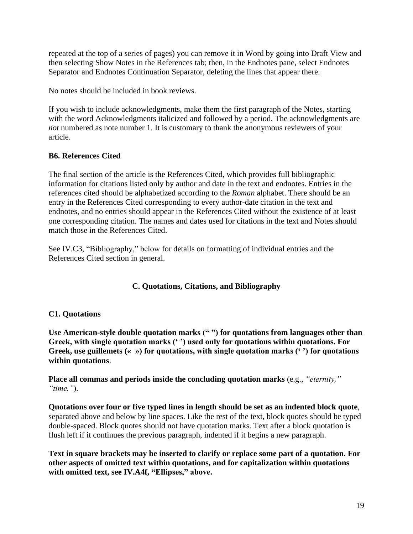repeated at the top of a series of pages) you can remove it in Word by going into Draft View and then selecting Show Notes in the References tab; then, in the Endnotes pane, select Endnotes Separator and Endnotes Continuation Separator, deleting the lines that appear there.

No notes should be included in book reviews.

If you wish to include acknowledgments, make them the first paragraph of the Notes, starting with the word Acknowledgments italicized and followed by a period. The acknowledgments are *not* numbered as note number 1. It is customary to thank the anonymous reviewers of your article.

## **B6. References Cited**

The final section of the article is the References Cited, which provides full bibliographic information for citations listed only by author and date in the text and endnotes. Entries in the references cited should be alphabetized according to the *Roman* alphabet. There should be an entry in the References Cited corresponding to every author-date citation in the text and endnotes, and no entries should appear in the References Cited without the existence of at least one corresponding citation. The names and dates used for citations in the text and Notes should match those in the References Cited.

See IV.C3, "Bibliography," below for details on formatting of individual entries and the References Cited section in general.

## **C. Quotations, Citations, and Bibliography**

## **C1. Quotations**

**Use American-style double quotation marks (" ") for quotations from languages other than Greek, with single quotation marks (' ') used only for quotations within quotations. For Greek, use guillemets (« ») for quotations, with single quotation marks (' ') for quotations within quotations**.

**Place all commas and periods inside the concluding quotation marks** (e.g., *"eternity," "time."*).

**Quotations over four or five typed lines in length should be set as an indented block quote**, separated above and below by line spaces. Like the rest of the text, block quotes should be typed double-spaced. Block quotes should not have quotation marks. Text after a block quotation is flush left if it continues the previous paragraph, indented if it begins a new paragraph.

**Text in square brackets may be inserted to clarify or replace some part of a quotation. For other aspects of omitted text within quotations, and for capitalization within quotations with omitted text, see IV.A4f, "Ellipses," above.**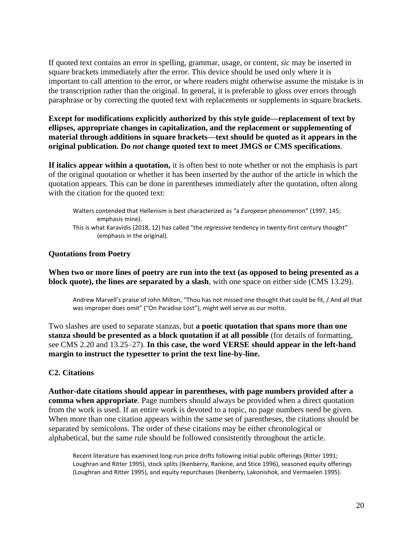If quoted text contains an error in spelling, grammar, usage, or content, *sic* may be inserted in square brackets immediately after the error. This device should be used only where it is important to call attention to the error, or where readers might otherwise assume the mistake is in the transcription rather than the original. In general, it is preferable to gloss over errors through paraphrase or by correcting the quoted text with replacements or supplements in square brackets.

**Except for modifications explicitly authorized by this style guide—replacement of text by ellipses, appropriate changes in capitalization, and the replacement or supplementing of material through additions in square brackets—text should be quoted as it appears in the original publication. Do** *not* **change quoted text to meet JMGS or CMS specifications**.

**If italics appear within a quotation,** it is often best to note whether or not the emphasis is part of the original quotation or whether it has been inserted by the author of the article in which the quotation appears. This can be done in parentheses immediately after the quotation, often along with the citation for the quoted text:

Walters contended that Hellenism is best characterized as "a *European* phenomenon" (1997, 145; emphasis mine). This is what Karavidis (2018, 12) has called "the *regressive* tendency in twenty-first century thought" (emphasis in the original).

#### **Quotations from Poetry**

**When two or more lines of poetry are run into the text (as opposed to being presented as a block quote), the lines are separated by a slash**, with one space on either side (CMS 13.29).

Andrew Marvell's praise of John Milton, "Thou has not missed one thought that could be fit, / And all that was improper does omit" ("On Paradise Lost"), might well serve as our motto.

Two slashes are used to separate stanzas, but **a poetic quotation that spans more than one stanza should be presented as a block quotation if at all possible** (for details of formatting, see CMS 2.20 and 13.25–27). **In this case, the word VERSE should appear in the left-hand margin to instruct the typesetter to print the text line-by-line.**

### **C2. Citations**

**Author-date citations should appear in parentheses, with page numbers provided after a comma when appropriate**. Page numbers should always be provided when a direct quotation from the work is used. If an entire work is devoted to a topic, no page numbers need be given. When more than one citation appears within the same set of parentheses, the citations should be separated by semicolons. The order of these citations may be either chronological or alphabetical, but the same rule should be followed consistently throughout the article.

Recent literature has examined long-run price drifts following initial public offerings (Ritter 1991; Loughran and Ritter 1995), stock splits (Ikenberry, Rankine, and Stice 1996), seasoned equity offerings (Loughran and Ritter 1995), and equity repurchases (Ikenberry, Lakonishok, and Vermaelen 1995).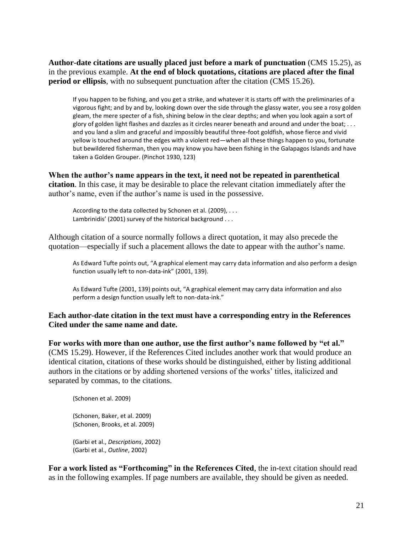**Author-date citations are usually placed just before a mark of punctuation** (CMS 15.25), as in the previous example. **At the end of block quotations, citations are placed after the final period or ellipsis**, with no subsequent punctuation after the citation (CMS 15.26).

If you happen to be fishing, and you get a strike, and whatever it is starts off with the preliminaries of a vigorous fight; and by and by, looking down over the side through the glassy water, you see a rosy golden gleam, the mere specter of a fish, shining below in the clear depths; and when you look again a sort of glory of golden light flashes and dazzles as it circles nearer beneath and around and under the boat; . . . and you land a slim and graceful and impossibly beautiful three-foot goldfish, whose fierce and vivid yellow is touched around the edges with a violent red—when all these things happen to you, fortunate but bewildered fisherman, then you may know you have been fishing in the Galapagos Islands and have taken a Golden Grouper. (Pinchot 1930, 123)

**When the author's name appears in the text, it need not be repeated in parenthetical citation**. In this case, it may be desirable to place the relevant citation immediately after the author's name, even if the author's name is used in the possessive.

According to the data collected by Schonen et al. (2009), . . . Lambrinidis' (2001) survey of the historical background . . .

Although citation of a source normally follows a direct quotation, it may also precede the quotation—especially if such a placement allows the date to appear with the author's name.

As Edward Tufte points out, "A graphical element may carry data information and also perform a design function usually left to non-data-ink" (2001, 139).

As Edward Tufte (2001, 139) points out, "A graphical element may carry data information and also perform a design function usually left to non-data-ink."

#### **Each author-date citation in the text must have a corresponding entry in the References Cited under the same name and date.**

**For works with more than one author, use the first author's name followed by "et al."** (CMS 15.29). However, if the References Cited includes another work that would produce an identical citation, citations of these works should be distinguished, either by listing additional authors in the citations or by adding shortened versions of the works' titles, italicized and separated by commas, to the citations.

(Schonen et al. 2009)

(Schonen, Baker, et al. 2009) (Schonen, Brooks, et al. 2009)

(Garbi et al., *Descriptions*, 2002) (Garbi et al., *Outline*, 2002)

**For a work listed as "Forthcoming" in the References Cited**, the in-text citation should read as in the following examples. If page numbers are available, they should be given as needed.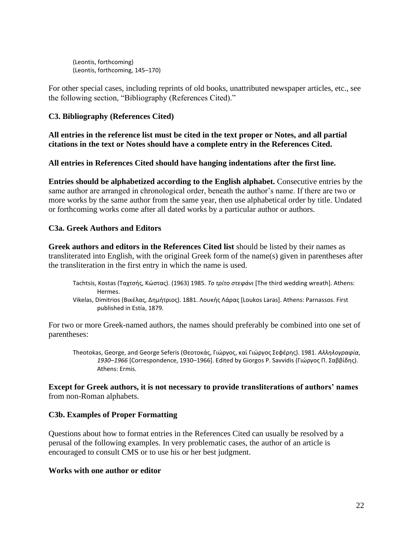(Leontis, forthcoming) (Leontis, forthcoming, 145–170)

For other special cases, including reprints of old books, unattributed newspaper articles, etc., see the following section, "Bibliography (References Cited)."

### **C3. Bibliography (References Cited)**

**All entries in the reference list must be cited in the text proper or Notes, and all partial citations in the text or Notes should have a complete entry in the References Cited.**

**All entries in References Cited should have hanging indentations after the first line.**

**Entries should be alphabetized according to the English alphabet.** Consecutive entries by the same author are arranged in chronological order, beneath the author's name. If there are two or more works by the same author from the same year, then use alphabetical order by title. Undated or forthcoming works come after all dated works by a particular author or authors.

#### **C3a. Greek Authors and Editors**

**Greek authors and editors in the References Cited list** should be listed by their names as transliterated into English, with the original Greek form of the name(s) given in parentheses after the transliteration in the first entry in which the name is used.

- Tachtsis, Kostas (Ταχτσής, Κώστας). (1963) 1985. *Το τρίτο στεφάνι* [The third wedding wreath]. Athens: Hermes.
- Vikelas, Dimitrios (Βικέλας, Δημήτριος). 1881. Λουκής Λάρας [Loukos Laras]. Athens: Parnassos. First published in Estía, 1879.

For two or more Greek-named authors, the names should preferably be combined into one set of parentheses:

Theotokas, George, and George Seferis (Θεοτοκάς, Γιώργος, καὶ Γιώργος Σεφέρης). 1981. *Αλληλογραφία*, *1930–1966* [Correspondence, 1930–1966]. Edited by Giorgos P. Savvidis (Γιώργος Π. Σαββίδης). Athens: Ermis.

**Except for Greek authors, it is not necessary to provide transliterations of authors' names** from non-Roman alphabets.

#### **C3b. Examples of Proper Formatting**

Questions about how to format entries in the References Cited can usually be resolved by a perusal of the following examples. In very problematic cases, the author of an article is encouraged to consult CMS or to use his or her best judgment.

#### **Works with one author or editor**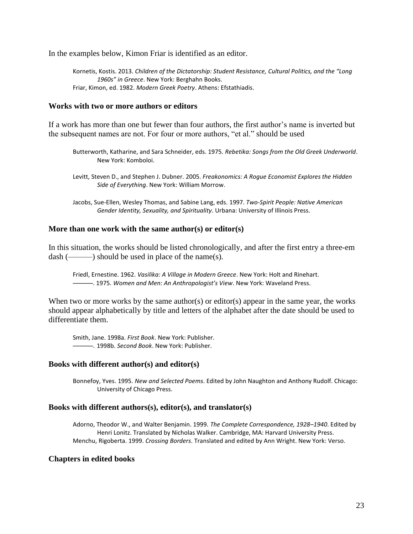In the examples below, Kimon Friar is identified as an editor.

Kornetis, Kostis. 2013. *Children of the Dictatorship: Student Resistance, Cultural Politics, and the "Long 1960s" in Greece*. New York: Berghahn Books. Friar, Kimon, ed. 1982. *Modern Greek Poetry*. Athens: Efstathiadis.

#### **Works with two or more authors or editors**

If a work has more than one but fewer than four authors, the first author's name is inverted but the subsequent names are not. For four or more authors, "et al." should be used

- Butterworth, Katharine, and Sara Schneider, eds. 1975. *Rebetika: Songs from the Old Greek Underworld*. New York: Komboloi.
- Levitt, Steven D., and Stephen J. Dubner. 2005. *Freakonomics: A Rogue Economist Explores the Hidden Side of Everything*. New York: William Morrow.
- Jacobs, Sue-Ellen, Wesley Thomas, and Sabine Lang, eds. 1997. *Two-Spirit People: Native American Gender Identity, Sexuality, and Spirituality*. Urbana: University of Illinois Press.

#### **More than one work with the same author(s) or editor(s)**

In this situation, the works should be listed chronologically, and after the first entry a three-em  $dash(\_\_\_\_)$  should be used in place of the name(s).

Friedl, Ernestine. 1962. *Vasilika: A Village in Modern Greece*. New York: Holt and Rinehart. ———. 1975. *Women and Men: An Anthropologist's View*. New York: Waveland Press.

When two or more works by the same author(s) or editor(s) appear in the same year, the works should appear alphabetically by title and letters of the alphabet after the date should be used to differentiate them.

Smith, Jane. 1998a. *First Book*. New York: Publisher. ———. 1998b. *Second Book*. New York: Publisher.

#### **Books with different author(s) and editor(s)**

Bonnefoy, Yves. 1995. *New and Selected Poems*. Edited by John Naughton and Anthony Rudolf. Chicago: University of Chicago Press.

#### **Books with different authors(s), editor(s), and translator(s)**

Adorno, Theodor W., and Walter Benjamin. 1999. *The Complete Correspondence, 1928–1940*. Edited by Henri Lonitz. Translated by Nicholas Walker. Cambridge, MA: Harvard University Press. Menchu, Rigoberta. 1999. *Crossing Borders*. Translated and edited by Ann Wright. New York: Verso.

#### **Chapters in edited books**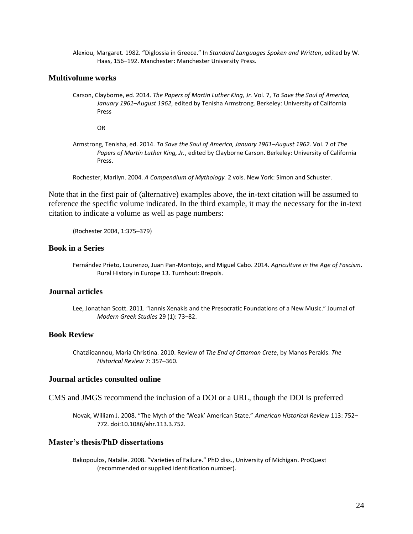Alexiou, Margaret. 1982. "Diglossia in Greece." In *Standard Languages Spoken and Written*, edited by W. Haas, 156–192. Manchester: Manchester University Press.

#### **Multivolume works**

Carson, Clayborne, ed. 2014. *The Papers of Martin Luther King, Jr.* Vol. 7, *To Save the Soul of America, January 1961–August 1962*, edited by Tenisha Armstrong. Berkeley: University of California Press

OR

Armstrong, Tenisha, ed. 2014. *To Save the Soul of America, January 1961–August 1962*. Vol. 7 of *The Papers of Martin Luther King, Jr.*, edited by Clayborne Carson. Berkeley: University of California Press.

Rochester, Marilyn. 2004. *A Compendium of Mythology.* 2 vols. New York: Simon and Schuster.

Note that in the first pair of (alternative) examples above, the in-text citation will be assumed to reference the specific volume indicated. In the third example, it may the necessary for the in-text citation to indicate a volume as well as page numbers:

(Rochester 2004, 1:375–379)

#### **Book in a Series**

Fernández Prieto, Lourenzo, Juan Pan-Montojo, and Miguel Cabo. 2014. *Agriculture in the Age of Fascism*. Rural History in Europe 13. Turnhout: Brepols.

#### **Journal articles**

Lee, Jonathan Scott. 2011. "Iannis Xenakis and the Presocratic Foundations of a New Music." Journal of *Modern Greek Studies* 29 (1): 73–82.

#### **Book Review**

Chatziioannou, Maria Christina. 2010. Review of *The End of Ottoman Crete*, by Manos Perakis. *The Historical Review* 7: 357–360.

#### **Journal articles consulted online**

CMS and JMGS recommend the inclusion of a DOI or a URL, though the DOI is preferred

Novak, William J. 2008. "The Myth of the 'Weak' American State." *American Historical Review* 113: 752– 772. doi:10.1086/ahr.113.3.752.

#### **Master's thesis/PhD dissertations**

Bakopoulos, Natalie. 2008. "Varieties of Failure." PhD diss., University of Michigan. ProQuest (recommended or supplied identification number).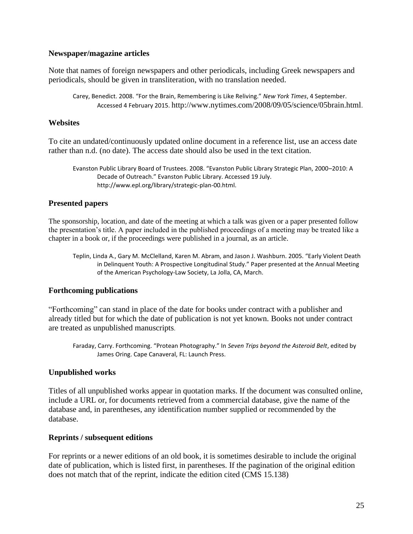#### **Newspaper/magazine articles**

Note that names of foreign newspapers and other periodicals, including Greek newspapers and periodicals, should be given in transliteration, with no translation needed.

Carey, Benedict. 2008. "For the Brain, Remembering is Like Reliving." *New York Times*, 4 September. Accessed 4 February 2015. http://www.nytimes.com/2008/09/05/science/05brain.html.

### **Websites**

To cite an undated/continuously updated online document in a reference list, use an access date rather than n.d. (no date). The access date should also be used in the text citation.

Evanston Public Library Board of Trustees. 2008. "Evanston Public Library Strategic Plan, 2000–2010: A Decade of Outreach." Evanston Public Library. Accessed 19 July. http://www.epl.org/library/strategic-plan-00.html.

### **Presented papers**

The sponsorship, location, and date of the meeting at which a talk was given or a paper presented follow the presentation's title. A paper included in the published proceedings of a meeting may be treated like a chapter in a book or, if the proceedings were published in a journal, as an article.

Teplin, Linda A., Gary M. McClelland, Karen M. Abram, and Jason J. Washburn. 2005. "Early Violent Death in Delinquent Youth: A Prospective Longitudinal Study." Paper presented at the Annual Meeting of the American Psychology-Law Society, La Jolla, CA, March.

### **Forthcoming publications**

"Forthcoming" can stand in place of the date for books under contract with a publisher and already titled but for which the date of publication is not yet known. Books not under contract are treated as unpublished manuscripts.

Faraday, Carry. Forthcoming. "Protean Photography." In *Seven Trips beyond the Asteroid Belt*, edited by James Oring. Cape Canaveral, FL: Launch Press.

### **Unpublished works**

Titles of all unpublished works appear in quotation marks. If the document was consulted online, include a URL or, for documents retrieved from a commercial database, give the name of the database and, in parentheses, any identification number supplied or recommended by the database.

### **Reprints / subsequent editions**

For reprints or a newer editions of an old book, it is sometimes desirable to include the original date of publication, which is listed first, in parentheses. If the pagination of the original edition does not match that of the reprint, indicate the edition cited (CMS 15.138)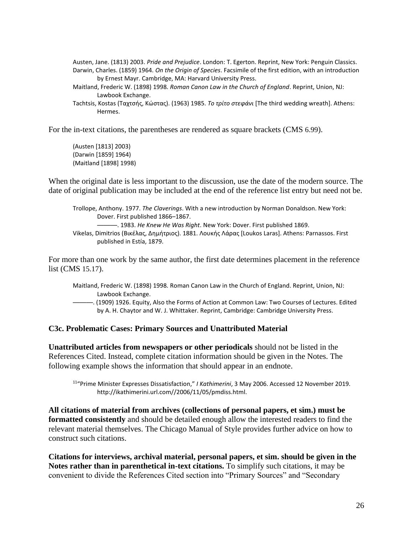Austen, Jane. (1813) 2003. *Pride and Prejudice*. London: T. Egerton. Reprint, New York: Penguin Classics. Darwin, Charles. (1859) 1964. *On the Origin of Species*. Facsimile of the first edition, with an introduction by Ernest Mayr. Cambridge, MA: Harvard University Press.

Maitland, Frederic W. (1898) 1998. *Roman Canon Law in the Church of England*. Reprint, Union, NJ: Lawbook Exchange.

Tachtsis, Kostas (Ταχτσής, Κώστας). (1963) 1985. *Το τρίτο στεφάνι* [The third wedding wreath]. Athens: Hermes.

For the in-text citations, the parentheses are rendered as square brackets (CMS 6.99).

(Austen [1813] 2003) (Darwin [1859] 1964) (Maitland [1898] 1998)

When the original date is less important to the discussion, use the date of the modern source. The date of original publication may be included at the end of the reference list entry but need not be.

Trollope, Anthony. 1977. *The Claverings*. With a new introduction by Norman Donaldson. New York: Dover. First published 1866–1867. ———. 1983. *He Knew He Was Right*. New York: Dover. First published 1869. Vikelas, Dimitrios (Βικέλας, Δημήτριος). 1881. Λουκής Λάρας [Loukos Laras]. Athens: Parnassos. First

published in Estía, 1879.

For more than one work by the same author, the first date determines placement in the reference list (CMS 15.17).

- Maitland, Frederic W. (1898) 1998. Roman Canon Law in the Church of England. Reprint, Union, NJ: Lawbook Exchange.
- ———. (1909) 1926. Equity, Also the Forms of Action at Common Law: Two Courses of Lectures. Edited by A. H. Chaytor and W. J. Whittaker. Reprint, Cambridge: Cambridge University Press.

#### **C3c. Problematic Cases: Primary Sources and Unattributed Material**

**Unattributed articles from newspapers or other periodicals** should not be listed in the References Cited. Instead, complete citation information should be given in the Notes. The following example shows the information that should appear in an endnote.

<sup>11</sup>"Prime Minister Expresses Dissatisfaction," *I Kathimerini*, 3 May 2006. Accessed 12 November 2019. http://ikathimerini.url.com//2006/11/05/pmdiss.html.

**All citations of material from archives (collections of personal papers, et sim.) must be formatted consistently** and should be detailed enough allow the interested readers to find the relevant material themselves. The Chicago Manual of Style provides further advice on how to construct such citations.

**Citations for interviews, archival material, personal papers, et sim. should be given in the Notes rather than in parenthetical in-text citations.** To simplify such citations, it may be convenient to divide the References Cited section into "Primary Sources" and "Secondary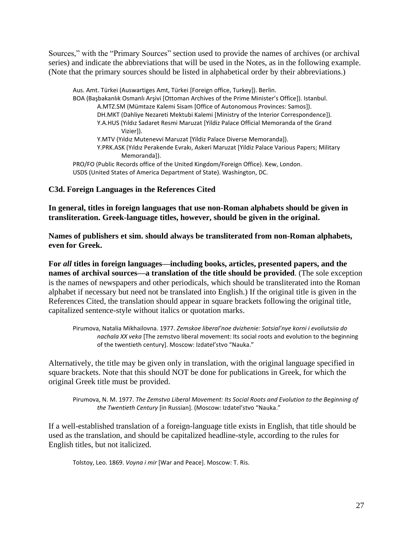Sources," with the "Primary Sources" section used to provide the names of archives (or archival series) and indicate the abbreviations that will be used in the Notes, as in the following example. (Note that the primary sources should be listed in alphabetical order by their abbreviations.)

Aus. Amt. Türkei (Auswartiges Amt, Türkei [Foreign office, Turkey]). Berlin. BOA (Başbakanlık Osmanlı Arşivi [Ottoman Archives of the Prime Minister's Office]). Istanbul. A.MTZ.SM (Mümtaze Kalemi Sisam [Office of Autonomous Provinces: Samos]). DH.MKT (Dahliye Nezareti Mektubi Kalemi [Ministry of the Interior Correspondence]). Y.A.HUS (Yıldız Sadaret Resmi Maruzat [Yildiz Palace Official Memoranda of the Grand Vizier]). Y.MTV (Yıldız Mutenevvi Maruzat [Yildiz Palace Diverse Memoranda]). Y.PRK.ASK (Yıldız Perakende Evrakı, Askeri Maruzat [Yildiz Palace Various Papers; Military Memoranda]). PRO/FO (Public Records office of the United Kingdom/Foreign Office). Kew, London. USDS (United States of America Department of State). Washington, DC.

#### **C3d. Foreign Languages in the References Cited**

**In general, titles in foreign languages that use non-Roman alphabets should be given in transliteration. Greek-language titles, however, should be given in the original.** 

**Names of publishers et sim. should always be transliterated from non-Roman alphabets, even for Greek.**

**For** *all* **titles in foreign languages—including books, articles, presented papers, and the names of archival sources—a translation of the title should be provided**. (The sole exception is the names of newspapers and other periodicals, which should be transliterated into the Roman alphabet if necessary but need not be translated into English.) If the original title is given in the References Cited, the translation should appear in square brackets following the original title, capitalized sentence-style without italics or quotation marks.

Pirumova, Natalia Mikhailovna. 1977. *Zemskoe liberal'noe dvizhenie: Sotsial'nye korni i evoliutsiia do nachala XX veka* [The zemstvo liberal movement: Its social roots and evolution to the beginning of the twentieth century]. Moscow: Izdatel'stvo "Nauka."

Alternatively, the title may be given only in translation, with the original language specified in square brackets. Note that this should NOT be done for publications in Greek, for which the original Greek title must be provided.

Pirumova, N. M. 1977. *The Zemstvo Liberal Movement: Its Social Roots and Evolution to the Beginning of the Twentieth Century* [in Russian]. (Moscow: Izdatel'stvo "Nauka."

If a well-established translation of a foreign-language title exists in English, that title should be used as the translation, and should be capitalized headline-style, according to the rules for English titles, but not italicized.

Tolstoy, Leo. 1869. *Voyna i mir* [War and Peace]. Moscow: T. Ris.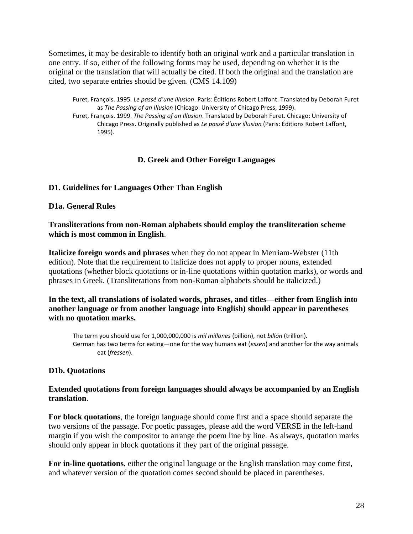Sometimes, it may be desirable to identify both an original work and a particular translation in one entry. If so, either of the following forms may be used, depending on whether it is the original or the translation that will actually be cited. If both the original and the translation are cited, two separate entries should be given. (CMS 14.109)

Furet, François. 1995. *Le passé d'une illusion*. Paris: Éditions Robert Laffont. Translated by Deborah Furet as *The Passing of an Illusion* (Chicago: University of Chicago Press, 1999). Furet, François. 1999. *The Passing of an Illusion*. Translated by Deborah Furet. Chicago: University of

Chicago Press. Originally published as *Le passé d'une illusion* (Paris: Éditions Robert Laffont, 1995).

#### **D. Greek and Other Foreign Languages**

#### **D1. Guidelines for Languages Other Than English**

#### **D1a. General Rules**

#### **Transliterations from non-Roman alphabets should employ the transliteration scheme which is most common in English**.

**Italicize foreign words and phrases** when they do not appear in Merriam-Webster (11th edition). Note that the requirement to italicize does not apply to proper nouns, extended quotations (whether block quotations or in-line quotations within quotation marks), or words and phrases in Greek. (Transliterations from non-Roman alphabets should be italicized.)

#### **In the text, all translations of isolated words, phrases, and titles—either from English into another language or from another language into English) should appear in parentheses with no quotation marks.**

The term you should use for 1,000,000,000 is *mil millones* (billion), not *billón* (trillion). German has two terms for eating—one for the way humans eat (*essen*) and another for the way animals eat (*fressen*).

#### **D1b. Quotations**

#### **Extended quotations from foreign languages should always be accompanied by an English translation**.

**For block quotations**, the foreign language should come first and a space should separate the two versions of the passage. For poetic passages, please add the word VERSE in the left-hand margin if you wish the compositor to arrange the poem line by line. As always, quotation marks should only appear in block quotations if they part of the original passage.

**For in-line quotations**, either the original language or the English translation may come first, and whatever version of the quotation comes second should be placed in parentheses.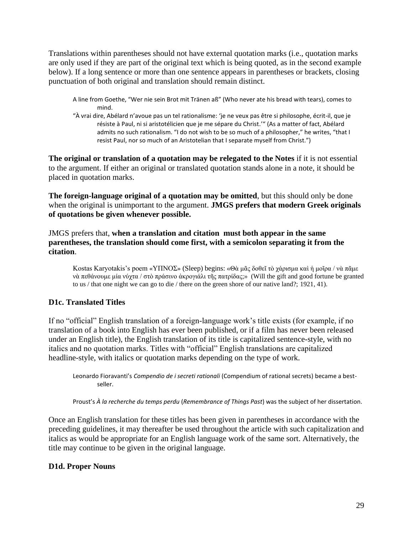Translations within parentheses should not have external quotation marks (i.e., quotation marks are only used if they are part of the original text which is being quoted, as in the second example below). If a long sentence or more than one sentence appears in parentheses or brackets, closing punctuation of both original and translation should remain distinct.

- A line from Goethe, "Wer nie sein Brot mit Tränen aß" (Who never ate his bread with tears), comes to mind.
- "À vrai dire, Abélard n'avoue pas un tel rationalisme: 'je ne veux pas être si philosophe, écrit-il, que je résiste à Paul, ni si aristotélicien que je me sépare du Christ.'" (As a matter of fact, Abélard admits no such rationalism. "I do not wish to be so much of a philosopher," he writes, "that I resist Paul, nor so much of an Aristotelian that I separate myself from Christ.")

**The original or translation of a quotation may be relegated to the Notes** if it is not essential to the argument. If either an original or translated quotation stands alone in a note, it should be placed in quotation marks.

**The foreign-language original of a quotation may be omitted**, but this should only be done when the original is unimportant to the argument. **JMGS prefers that modern Greek originals of quotations be given whenever possible.**

JMGS prefers that, **when a translation and citation must both appear in the same parentheses, the translation should come first, with a semicolon separating it from the citation**.

Kostas Karyotakis's poem «ΥΠΝΟΣ» (Sleep) begins: «Θὰ μᾶς δοθεῖ τὸ χάρισμα καὶ ἡ μοῖρα / νὰ πᾶμε νὰ πεθάνουμε μία νύχτα / στὸ πράσινο ἀκρογιάλι τῆς πατρίδας;» (Will the gift and good fortune be granted to us / that one night we can go to die / there on the green shore of our native land?; 1921, 41).

### **D1c. Translated Titles**

If no "official" English translation of a foreign-language work's title exists (for example, if no translation of a book into English has ever been published, or if a film has never been released under an English title), the English translation of its title is capitalized sentence-style, with no italics and no quotation marks. Titles with "official" English translations are capitalized headline-style, with italics or quotation marks depending on the type of work.

Leonardo Fioravanti's *Compendio de i secreti rationali* (Compendium of rational secrets) became a bestseller.

Proust's *À la recherche du temps perdu* (*Remembrance of Things Past*) was the subject of her dissertation.

Once an English translation for these titles has been given in parentheses in accordance with the preceding guidelines, it may thereafter be used throughout the article with such capitalization and italics as would be appropriate for an English language work of the same sort. Alternatively, the title may continue to be given in the original language.

### **D1d. Proper Nouns**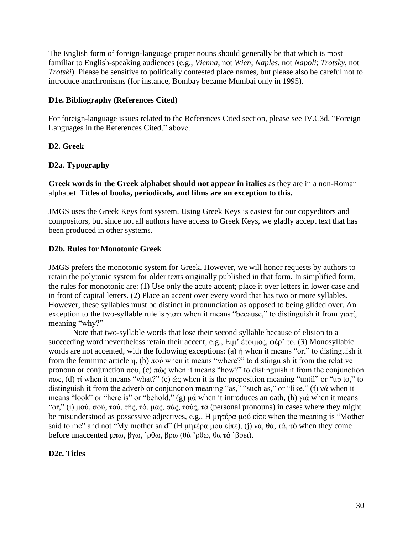The English form of foreign-language proper nouns should generally be that which is most familiar to English-speaking audiences (e.g., *Vienna*, not *Wien*; *Naples*, not *Napoli*; *Trotsky*, not *Trotski*). Please be sensitive to politically contested place names, but please also be careful not to introduce anachronisms (for instance, Bombay became Mumbai only in 1995).

#### **D1e. Bibliography (References Cited)**

For foreign-language issues related to the References Cited section, please see IV.C3d, "Foreign Languages in the References Cited," above.

#### **D2. Greek**

#### **D2a. Typography**

**Greek words in the Greek alphabet should not appear in italics** as they are in a non-Roman alphabet. **Titles of books, periodicals, and films are an exception to this.** 

JMGS uses the Greek Keys font system. Using Greek Keys is easiest for our copyeditors and compositors, but since not all authors have access to Greek Keys, we gladly accept text that has been produced in other systems.

#### **D2b. Rules for Monotonic Greek**

JMGS prefers the monotonic system for Greek. However, we will honor requests by authors to retain the polytonic system for older texts originally published in that form. In simplified form, the rules for monotonic are: (1) Use only the acute accent; place it over letters in lower case and in front of capital letters. (2) Place an accent over every word that has two or more syllables. However, these syllables must be distinct in pronunciation as opposed to being glided over. An exception to the two-syllable rule is γιατι when it means "because," to distinguish it from γιατί, meaning "why?"

Note that two-syllable words that lose their second syllable because of elision to a succeeding word nevertheless retain their accent, e.g., Είμ' έτοιμος, φέρ' το. (3) Monosyllabic words are not accented, with the following exceptions: (a) ή when it means "or," to distinguish it from the feminine article η, (b) πού when it means "where?" to distinguish it from the relative pronoun or conjunction που, (c) πώς when it means "how?" to distinguish it from the conjunction πως, (d) τί when it means "what?" (e) ώς when it is the preposition meaning "until" or "up to," to distinguish it from the adverb or conjunction meaning "as," "such as," or "like," (f) νά when it means "look" or "here is" or "behold," (g) μά when it introduces an oath, (h) γιά when it means "or," (i) μού, σού, τού, τής, τό, μάς, σάς, τούς, τά (personal pronouns) in cases where they might be misunderstood as possessive adjectives, e.g., Η μητέρα μού είπε when the meaning is "Mother said to me" and not "My mother said" (Η μητέρα μου είπε), (j) νά, θά, τά, τό when they come before unaccented μπω, βγω, 'ρθω, βρω (θά 'ρθω, θα τά 'βρει).

#### **D2c. Titles**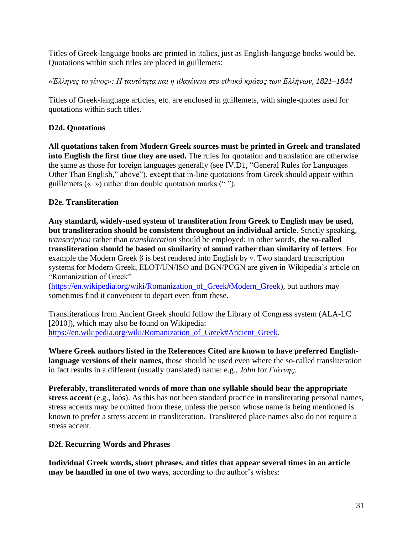Titles of Greek-language books are printed in italics, just as English-language books would be. Quotations within such titles are placed in guillemets:

*«Έλληνες το γένος»: Η ταυτότητα και η ιθαγένεια στο εθνικό κράτος των Ελλήνων, 1821–1844*

Titles of Greek-language articles, etc. are enclosed in guillemets, with single-quotes used for quotations within such titles.

## **D2d. Quotations**

**All quotations taken from Modern Greek sources must be printed in Greek and translated into English the first time they are used.** The rules for quotation and translation are otherwise the same as those for foreign languages generally (see IV.D1, "General Rules for Languages Other Than English," above"), except that in-line quotations from Greek should appear within guillemets  $(\langle \rangle)$  rather than double quotation marks  $(\degree)$ .

### **D2e. Transliteration**

**Any standard, widely-used system of transliteration from Greek to English may be used, but transliteration should be consistent throughout an individual article**. Strictly speaking, *transcription* rather than *transliteration* should be employed: in other words, **the so-called transliteration should be based on similarity of sound rather than similarity of letters**. For example the Modern Greek β is best rendered into English by *v*. Two standard transcription systems for Modern Greek, ELOT/UN/ISO and BGN/PCGN are given in Wikipedia's article on "Romanization of Greek"

(https://en.wikipedia.org/wiki/Romanization of Greek#Modern Greek), but authors may sometimes find it convenient to depart even from these.

Transliterations from Ancient Greek should follow the Library of Congress system (ALA-LC [2010]), which may also be found on Wikipedia: [https://en.wikipedia.org/wiki/Romanization\\_of\\_Greek#Ancient\\_Greek.](https://en.wikipedia.org/wiki/Romanization_of_Greek%23Ancient_Greek)

**Where Greek authors listed in the References Cited are known to have preferred Englishlanguage versions of their names**, those should be used even where the so-called transliteration in fact results in a different (usually translated) name: e.g., *John* for *Γιάννης*.

**Preferably, transliterated words of more than one syllable should bear the appropriate stress accent** (e.g., laós). As this has not been standard practice in transliterating personal names, stress accents may be omitted from these, unless the person whose name is being mentioned is known to prefer a stress accent in transliteration. Translitered place names also do not require a stress accent.

### **D2f. Recurring Words and Phrases**

**Individual Greek words, short phrases, and titles that appear several times in an article may be handled in one of two ways**, according to the author's wishes: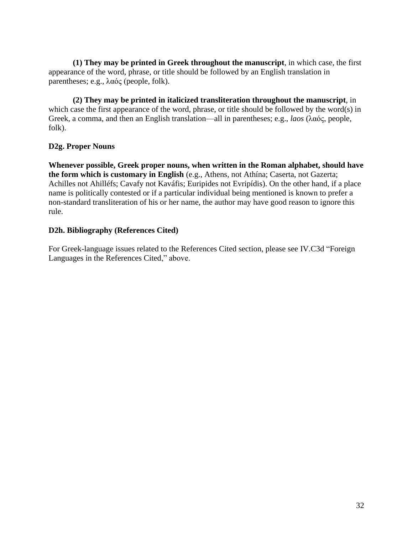**(1) They may be printed in Greek throughout the manuscript**, in which case, the first appearance of the word, phrase, or title should be followed by an English translation in parentheses; e.g., λαός (people, folk).

**(2) They may be printed in italicized transliteration throughout the manuscript**, in which case the first appearance of the word, phrase, or title should be followed by the word(s) in Greek, a comma, and then an English translation—all in parentheses; e.g., *laos* (λαός, people, folk).

### **D2g. Proper Nouns**

**Whenever possible, Greek proper nouns, when written in the Roman alphabet, should have the form which is customary in English** (e.g., Athens, not Athína; Caserta, not Gazerta; Achilles not Ahilléfs; Cavafy not Kaváfis; Euripides not Evripídis). On the other hand, if a place name is politically contested or if a particular individual being mentioned is known to prefer a non-standard transliteration of his or her name, the author may have good reason to ignore this rule.

#### **D2h. Bibliography (References Cited)**

For Greek-language issues related to the References Cited section, please see IV.C3d "Foreign Languages in the References Cited," above.